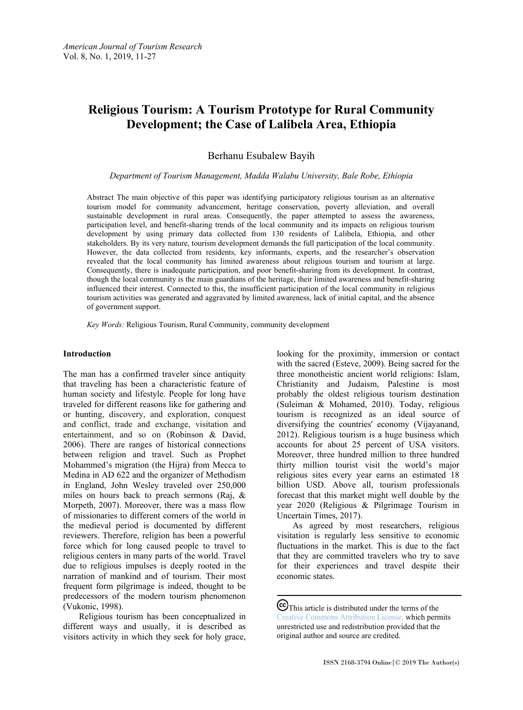# **Religious Tourism: A Tourism Prototype for Rural Community Development; the Case of Lalibela Area, Ethiopia**

Berhanu Esubalew Bayih

#### *Department of Tourism Management, Madda Walabu University, Bale Robe, Ethiopia*

Abstract The main objective of this paper was identifying participatory religious tourism as an alternative tourism model for community advancement, heritage conservation, poverty alleviation, and overall sustainable development in rural areas. Consequently, the paper attempted to assess the awareness, participation level, and benefit-sharing trends of the local community and its impacts on religious tourism development by using primary data collected from 130 residents of Lalibela, Ethiopia, and other stakeholders. By its very nature, tourism development demands the full participation of the local community. However, the data collected from residents, key informants, experts, and the researcher's observation revealed that the local community has limited awareness about religious tourism and tourism at large. Consequently, there is inadequate participation, and poor benefit-sharing from its development. In contrast, though the local community is the main guardians of the heritage, their limited awareness and benefit-sharing influenced their interest. Connected to this, the insufficient participation of the local community in religious tourism activities was generated and aggravated by limited awareness, lack of initial capital, and the absence of government support.

*Key Words:* Religious Tourism, Rural Community, community development

#### **Introduction**

The man has a confirmed traveler since antiquity that traveling has been a characteristic feature of human society and lifestyle. People for long have traveled for different reasons like for gathering and or hunting, discovery, and exploration, conquest and conflict, trade and exchange, visitation and entertainment, and so on (Robinson & David, 2006). There are ranges of historical connections between religion and travel. Such as Prophet Mohammed's migration (the Hijra) from Mecca to Medina in AD 622 and the organizer of Methodism in England, John Wesley traveled over 250,000 miles on hours back to preach sermons (Raj, & Morpeth, 2007). Moreover, there was a mass flow of missionaries to different corners of the world in the medieval period is documented by different reviewers. Therefore, religion has been a powerful force which for long caused people to travel to religious centers in many parts of the world. Travel due to religious impulses is deeply rooted in the narration of mankind and of tourism. Their most frequent form pilgrimage is indeed, thought to be predecessors of the modern tourism phenomenon (Vukonic, 1998).

Religious tourism has been conceptualized in different ways and usually, it is described as visitors activity in which they seek for holy grace,

looking for the proximity, immersion or contact with the sacred (Esteve, 2009). Being sacred for the three monotheistic ancient world religions: Islam, Christianity and Judaism, Palestine is most probably the oldest religious tourism destination (Suleiman & Mohamed, 2010). Today, religious tourism is recognized as an ideal source of diversifying the countries' economy (Vijayanand, 2012). Religious tourism is a huge business which accounts for about 25 percent of USA visitors. Moreover, three hundred million to three hundred thirty million tourist visit the world's major religious sites every year earns an estimated 18 billion USD. Above all, tourism professionals forecast that this market might well double by the year 2020 (Religious & Pilgrimage Tourism in Uncertain Times, 2017).

As agreed by most researchers, religious visitation is regularly less sensitive to economic fluctuations in the market. This is due to the fact that they are committed travelers who try to save for their experiences and travel despite their economic states.

CC This article is distributed under the terms of the [Creative Commons Attribution License,](http://creativecommons.org/licenses/by/3.0/) which permits unrestricted use and redistribution provided that the original author and source are credited.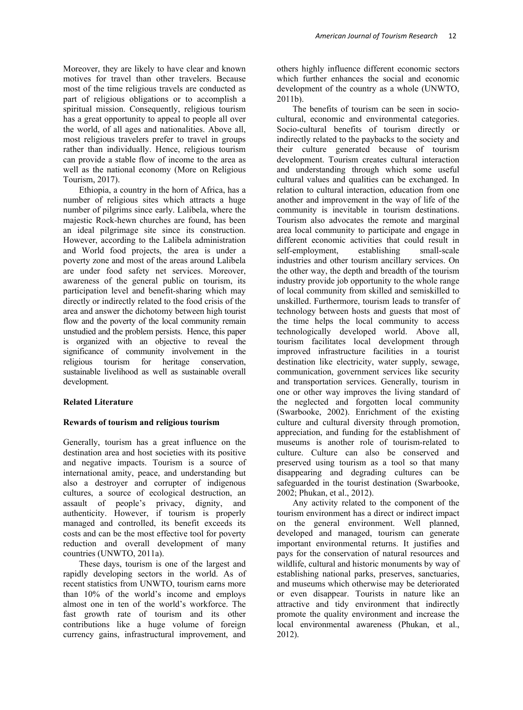Moreover, they are likely to have clear and known motives for travel than other travelers. Because most of the time religious travels are conducted as part of religious obligations or to accomplish a spiritual mission. Consequently, religious tourism has a great opportunity to appeal to people all over the world, of all ages and nationalities. Above all, most religious travelers prefer to travel in groups rather than individually. Hence, religious tourism can provide a stable flow of income to the area as well as the national economy (More on Religious Tourism, 2017).

Ethiopia, a country in the horn of Africa, has a number of religious sites which attracts a huge number of pilgrims since early. Lalibela, where the majestic Rock-hewn churches are found, has been an ideal pilgrimage site since its construction. However, according to the Lalibela administration and World food projects, the area is under a poverty zone and most of the areas around Lalibela are under food safety net services. Moreover, awareness of the general public on tourism, its participation level and benefit-sharing which may directly or indirectly related to the food crisis of the area and answer the dichotomy between high tourist flow and the poverty of the local community remain unstudied and the problem persists. Hence, this paper is organized with an objective to reveal the significance of community involvement in the religious tourism for heritage conservation, sustainable livelihood as well as sustainable overall development.

#### **Related Literature**

#### **Rewards of tourism and religious tourism**

Generally, tourism has a great influence on the destination area and host societies with its positive and negative impacts. Tourism is a source of international amity, peace, and understanding but also a destroyer and corrupter of indigenous cultures, a source of ecological destruction, an assault of people's privacy, dignity, and authenticity. However, if tourism is properly managed and controlled, its benefit exceeds its costs and can be the most effective tool for poverty reduction and overall development of many countries (UNWTO, 2011a).

These days, tourism is one of the largest and rapidly developing sectors in the world. As of recent statistics from UNWTO, tourism earns more than 10% of the world's income and employs almost one in ten of the world's workforce. The fast growth rate of tourism and its other contributions like a huge volume of foreign currency gains, infrastructural improvement, and

others highly influence different economic sectors which further enhances the social and economic development of the country as a whole (UNWTO, 2011b).

The benefits of tourism can be seen in sociocultural, economic and environmental categories. Socio-cultural benefits of tourism directly or indirectly related to the paybacks to the society and their culture generated because of tourism development. Tourism creates cultural interaction and understanding through which some useful cultural values and qualities can be exchanged. In relation to cultural interaction, education from one another and improvement in the way of life of the community is inevitable in tourism destinations. Tourism also advocates the remote and marginal area local community to participate and engage in different economic activities that could result in self-employment, establishing small-scale industries and other tourism ancillary services. On the other way, the depth and breadth of the tourism industry provide job opportunity to the whole range of local community from skilled and semiskilled to unskilled. Furthermore, tourism leads to transfer of technology between hosts and guests that most of the time helps the local community to access technologically developed world. Above all, tourism facilitates local development through improved infrastructure facilities in a tourist destination like electricity, water supply, sewage, communication, government services like security and transportation services. Generally, tourism in one or other way improves the living standard of the neglected and forgotten local community (Swarbooke, 2002). Enrichment of the existing culture and cultural diversity through promotion, appreciation, and funding for the establishment of museums is another role of tourism-related to culture. Culture can also be conserved and preserved using tourism as a tool so that many disappearing and degrading cultures can be safeguarded in the tourist destination (Swarbooke, 2002; Phukan, et al., 2012).

Any activity related to the component of the tourism environment has a direct or indirect impact on the general environment. Well planned, developed and managed, tourism can generate important environmental returns. It justifies and pays for the conservation of natural resources and wildlife, cultural and historic monuments by way of establishing national parks, preserves, sanctuaries, and museums which otherwise may be deteriorated or even disappear. Tourists in nature like an attractive and tidy environment that indirectly promote the quality environment and increase the local environmental awareness (Phukan, et al., 2012).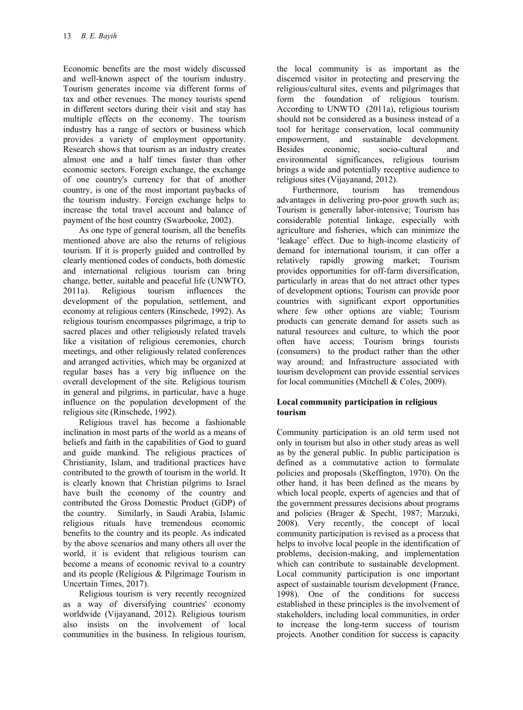Economic benefits are the most widely discussed and well-known aspect of the tourism industry. Tourism generates income via different forms of tax and other revenues. The money tourists spend in different sectors during their visit and stay has multiple effects on the economy. The tourism industry has a range of sectors or business which provides a variety of employment opportunity. Research shows that tourism as an industry creates almost one and a half times faster than other economic sectors. Foreign exchange, the exchange of one country's currency for that of another country, is one of the most important paybacks of the tourism industry. Foreign exchange helps to increase the total travel account and balance of payment of the host country (Swarbooke, 2002).

As one type of general tourism, all the benefits mentioned above are also the returns of religious tourism. If it is properly guided and controlled by clearly mentioned codes of conducts, both domestic and international religious tourism can bring change, better, suitable and peaceful life (UNWTO, 2011a). Religious tourism influences the development of the population, settlement, and economy at religious centers (Rinschede, 1992). As religious tourism encompasses pilgrimage, a trip to sacred places and other religiously related travels like a visitation of religious ceremonies, church meetings, and other religiously related conferences and arranged activities, which may be organized at regular bases has a very big influence on the overall development of the site. Religious tourism in general and pilgrims, in particular, have a huge influence on the population development of the religious site (Rinschede, 1992).

Religious travel has become a fashionable inclination in most parts of the world as a means of beliefs and faith in the capabilities of God to guard and guide mankind. The religious practices of Christianity, Islam, and traditional practices have contributed to the growth of tourism in the world. It is clearly known that Christian pilgrims to Israel have built the economy of the country and contributed the Gross Domestic Product (GDP) of the country. Similarly, in Saudi Arabia, Islamic religious rituals have tremendous economic benefits to the country and its people. As indicated by the above scenarios and many others all over the world, it is evident that religious tourism can become a means of economic revival to a country and its people (Religious & Pilgrimage Tourism in Uncertain Times, 2017).

Religious tourism is very recently recognized as a way of diversifying countries' economy worldwide (Vijayanand, 2012). Religious tourism also insists on the involvement of local communities in the business. In religious tourism,

the local community is as important as the discerned visitor in protecting and preserving the religious/cultural sites, events and pilgrimages that form the foundation of religious tourism. According to UNWTO (2011a), religious tourism should not be considered as a business instead of a tool for heritage conservation, local community empowerment, and sustainable development.<br>Besides economic. socio-cultural and socio-cultural environmental significances, religious tourism brings a wide and potentially receptive audience to religious sites (Vijayanand, 2012).<br>Furthermore, tourism has

Furthermore, tourism has tremendous advantages in delivering pro-poor growth such as; Tourism is generally labor-intensive; Tourism has considerable potential linkage, especially with agriculture and fisheries, which can minimize the 'leakage' effect. Due to high-income elasticity of demand for international tourism, it can offer a relatively rapidly growing market; Tourism provides opportunities for off-farm diversification, particularly in areas that do not attract other types of development options; Tourism can provide poor countries with significant export opportunities where few other options are viable; Tourism products can generate demand for assets such as natural resources and culture, to which the poor often have access; Tourism brings tourists (consumers) to the product rather than the other way around; and Infrastructure associated with tourism development can provide essential services for local communities (Mitchell & Coles, 2009).

## **Local community participation in religious tourism**

Community participation is an old term used not only in tourism but also in other study areas as well as by the general public. In public participation is defined as a commutative action to formulate policies and proposals (Skeffington, 1970). On the other hand, it has been defined as the means by which local people, experts of agencies and that of the government pressures decisions about programs and policies (Brager & Specht, 1987; Marzuki, 2008). Very recently, the concept of local community participation is revised as a process that helps to involve local people in the identification of problems, decision-making, and implementation which can contribute to sustainable development. Local community participation is one important aspect of sustainable tourism development (France, 1998). One of the conditions for success established in these principles is the involvement of stakeholders, including local communities, in order to increase the long-term success of tourism projects. Another condition for success is capacity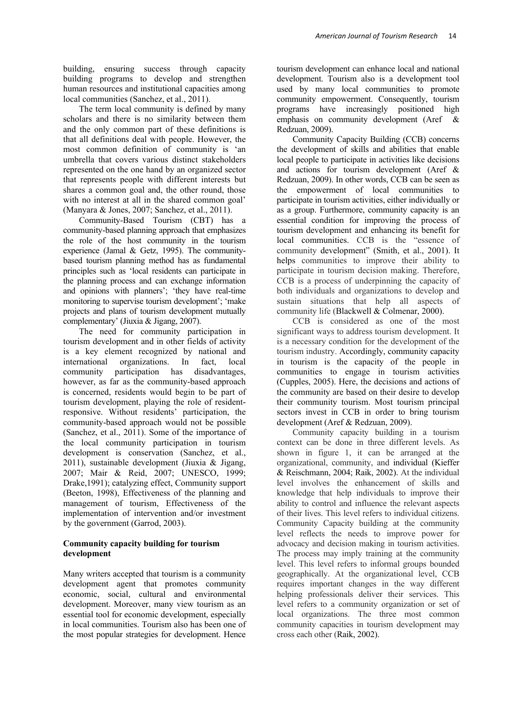building, ensuring success through capacity building programs to develop and strengthen human resources and institutional capacities among local communities (Sanchez, et al., 2011).

The term local community is defined by many scholars and there is no similarity between them and the only common part of these definitions is that all definitions deal with people. However, the most common definition of community is 'an umbrella that covers various distinct stakeholders represented on the one hand by an organized sector that represents people with different interests but shares a common goal and, the other round, those with no interest at all in the shared common goal' (Manyara & Jones, 2007; Sanchez, et al., 2011).

Community-Based Tourism (CBT) has a community-based planning approach that emphasizes the role of the host community in the tourism experience (Jamal & Getz, 1995). The communitybased tourism planning method has as fundamental principles such as 'local residents can participate in the planning process and can exchange information and opinions with planners'; 'they have real-time monitoring to supervise tourism development'; 'make projects and plans of tourism development mutually complementary' (Jiuxia & Jigang, 2007).

The need for community participation in tourism development and in other fields of activity is a key element recognized by national and international organizations. In fact, local<br>community participation has disadvantages. community participation has however, as far as the community-based approach is concerned, residents would begin to be part of tourism development, playing the role of residentresponsive. Without residents' participation, the community-based approach would not be possible (Sanchez, et al., 2011). Some of the importance of the local community participation in tourism development is conservation (Sanchez, et al., 2011), sustainable development (Jiuxia & Jigang, 2007; Mair & Reid, 2007; UNESCO, 1999; Drake,1991); catalyzing effect, Community support (Beeton, 1998), Effectiveness of the planning and management of tourism, Effectiveness of the implementation of intervention and/or investment by the government (Garrod, 2003).

## **Community capacity building for tourism development**

Many writers accepted that tourism is a community development agent that promotes community economic, social, cultural and environmental development. Moreover, many view tourism as an essential tool for economic development, especially in local communities. Tourism also has been one of the most popular strategies for development. Hence

tourism development can enhance local and national development. Tourism also is a development tool used by many local communities to promote community empowerment. Consequently, tourism programs have increasingly positioned high emphasis on community development (Aref & Redzuan, 2009).

Community Capacity Building (CCB) concerns the development of skills and abilities that enable local people to participate in activities like decisions and actions for tourism development (Aref & Redzuan, 2009). In other words, CCB can be seen as the empowerment of local communities to participate in tourism activities, either individually or as a group. Furthermore, community capacity is an essential condition for improving the process of tourism development and enhancing its benefit for local communities. CCB is the "essence of community development" (Smith, et al., 2001). It helps communities to improve their ability to participate in tourism decision making. Therefore, CCB is a process of underpinning the capacity of both individuals and organizations to develop and sustain situations that help all aspects of community life (Blackwell & Colmenar, 2000).

CCB is considered as one of the most significant ways to address tourism development. It is a necessary condition for the development of the tourism industry. Accordingly, community capacity in tourism is the capacity of the people in communities to engage in tourism activities (Cupples, 2005). Here, the decisions and actions of the community are based on their desire to develop their community tourism. Most tourism principal sectors invest in CCB in order to bring tourism development (Aref & Redzuan, 2009).

Community capacity building in a tourism context can be done in three different levels. As shown in figure 1, it can be arranged at the organizational, community, and individual (Kieffer & Reischmann, 2004; Raik, 2002). At the individual level involves the enhancement of skills and knowledge that help individuals to improve their ability to control and influence the relevant aspects of their lives. This level refers to individual citizens. Community Capacity building at the community level reflects the needs to improve power for advocacy and decision making in tourism activities. The process may imply training at the community level. This level refers to informal groups bounded geographically. At the organizational level, CCB requires important changes in the way different helping professionals deliver their services. This level refers to a community organization or set of local organizations. The three most common community capacities in tourism development may cross each other (Raik, 2002).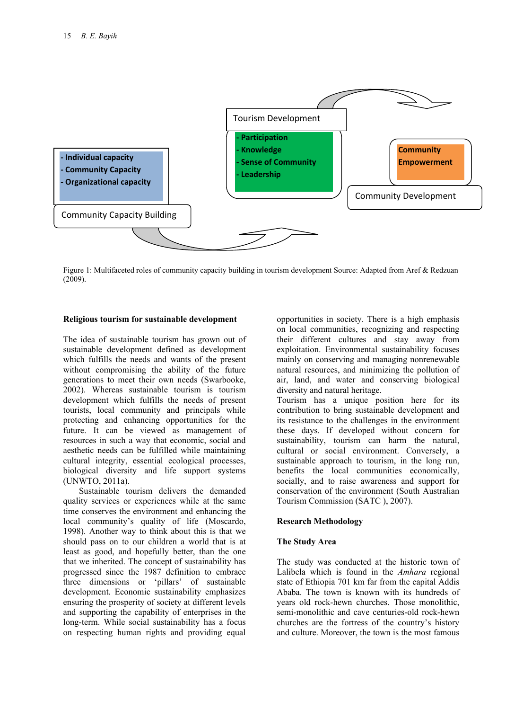

Figure 1: Multifaceted roles of community capacity building in tourism development Source: Adapted from Aref & Redzuan (2009).

#### **Religious tourism for sustainable development**

The idea of sustainable tourism has grown out of sustainable development defined as development which fulfills the needs and wants of the present without compromising the ability of the future generations to meet their own needs (Swarbooke, 2002). Whereas sustainable tourism is tourism development which fulfills the needs of present tourists, local community and principals while protecting and enhancing opportunities for the future. It can be viewed as management of resources in such a way that economic, social and aesthetic needs can be fulfilled while maintaining cultural integrity, essential ecological processes, biological diversity and life support systems (UNWTO, 2011a).

Sustainable tourism delivers the demanded quality services or experiences while at the same time conserves the environment and enhancing the local community's quality of life (Moscardo, 1998). Another way to think about this is that we should pass on to our children a world that is at least as good, and hopefully better, than the one that we inherited. The concept of sustainability has progressed since the 1987 definition to embrace three dimensions or 'pillars' of sustainable development. Economic sustainability emphasizes ensuring the prosperity of society at different levels and supporting the capability of enterprises in the long-term. While social sustainability has a focus on respecting human rights and providing equal

opportunities in society. There is a high emphasis on local communities, recognizing and respecting their different cultures and stay away from exploitation. Environmental sustainability focuses mainly on conserving and managing nonrenewable natural resources, and minimizing the pollution of air, land, and water and conserving biological diversity and natural heritage.

Tourism has a unique position here for its contribution to bring sustainable development and its resistance to the challenges in the environment these days. If developed without concern for sustainability, tourism can harm the natural, cultural or social environment. Conversely, a sustainable approach to tourism, in the long run, benefits the local communities economically, socially, and to raise awareness and support for conservation of the environment (South Australian Tourism Commission (SATC ), 2007).

#### **Research Methodology**

#### **The Study Area**

The study was conducted at the historic town of Lalibela which is found in the *Amhara* regional state of Ethiopia 701 km far from the capital Addis Ababa. The town is known with its hundreds of years old rock-hewn churches. Those monolithic, semi-monolithic and cave centuries-old rock-hewn churches are the fortress of the country's history and culture. Moreover, the town is the most famous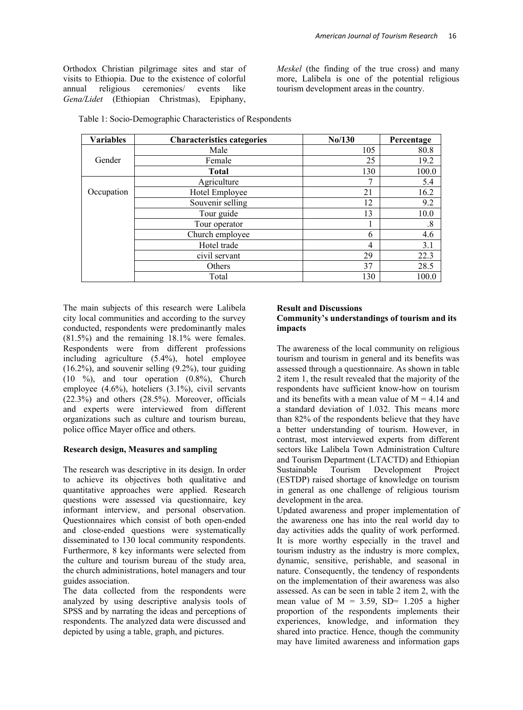Orthodox Christian pilgrimage sites and star of visits to Ethiopia. Due to the existence of colorful<br>annual religious ceremonies/ events like annual religious ceremonies/ *Gena/Lidet* (Ethiopian Christmas), Epiphany,

*Meskel* (the finding of the true cross) and many more, Lalibela is one of the potential religious tourism development areas in the country.

| <b>Variables</b> | <b>Characteristics categories</b> | No/130 | Percentage        |
|------------------|-----------------------------------|--------|-------------------|
|                  | Male                              | 105    | 80.8              |
| Gender           | Female                            | 25     | 19.2              |
|                  | <b>Total</b>                      | 130    | 100.0             |
|                  | Agriculture                       | 7      | 5.4               |
| Occupation       | Hotel Employee                    | 21     | 16.2              |
|                  | Souvenir selling                  | 12     | 9.2               |
|                  | Tour guide                        | 13     | 10.0              |
|                  | Tour operator                     |        | $\boldsymbol{.8}$ |
|                  | Church employee                   | 6      | 4.6               |
|                  | Hotel trade                       | 4      | 3.1               |
|                  | civil servant                     | 29     | 22.3              |
|                  | Others                            | 37     | 28.5              |
|                  | Total                             | 130    | 100.0             |

Table 1: Socio-Demographic Characteristics of Respondents

The main subjects of this research were Lalibela city local communities and according to the survey conducted, respondents were predominantly males (81.5%) and the remaining 18.1% were females. Respondents were from different professions including agriculture (5.4%), hotel employee  $(16.2\%)$ , and souvenir selling  $(9.2\%)$ , tour guiding  $(10 \t%),$  and tour operation  $(0.8\%)$ , Church employee (4.6%), hoteliers (3.1%), civil servants (22.3%) and others (28.5%). Moreover, officials and experts were interviewed from different organizations such as culture and tourism bureau, police office Mayer office and others.

# **Research design, Measures and sampling**

The research was descriptive in its design. In order to achieve its objectives both qualitative and quantitative approaches were applied. Research questions were assessed via questionnaire, key informant interview, and personal observation. Questionnaires which consist of both open-ended and close-ended questions were systematically disseminated to 130 local community respondents. Furthermore, 8 key informants were selected from the culture and tourism bureau of the study area, the church administrations, hotel managers and tour guides association.

The data collected from the respondents were analyzed by using descriptive analysis tools of SPSS and by narrating the ideas and perceptions of respondents. The analyzed data were discussed and depicted by using a table, graph, and pictures.

#### **Result and Discussions Community's understandings of tourism and its impacts**

The awareness of the local community on religious tourism and tourism in general and its benefits was assessed through a questionnaire. As shown in table 2 item 1, the result revealed that the majority of the respondents have sufficient know-how on tourism and its benefits with a mean value of  $M = 4.14$  and a standard deviation of 1.032. This means more than 82% of the respondents believe that they have a better understanding of tourism. However, in contrast, most interviewed experts from different sectors like Lalibela Town Administration Culture and Tourism Department (LTACTD) and Ethiopian Sustainable Tourism Development Project (ESTDP) raised shortage of knowledge on tourism in general as one challenge of religious tourism development in the area.

Updated awareness and proper implementation of the awareness one has into the real world day to day activities adds the quality of work performed. It is more worthy especially in the travel and tourism industry as the industry is more complex, dynamic, sensitive, perishable, and seasonal in nature. Consequently, the tendency of respondents on the implementation of their awareness was also assessed. As can be seen in table 2 item 2, with the mean value of  $M = 3.59$ , SD= 1.205 a higher proportion of the respondents implements their experiences, knowledge, and information they shared into practice. Hence, though the community may have limited awareness and information gaps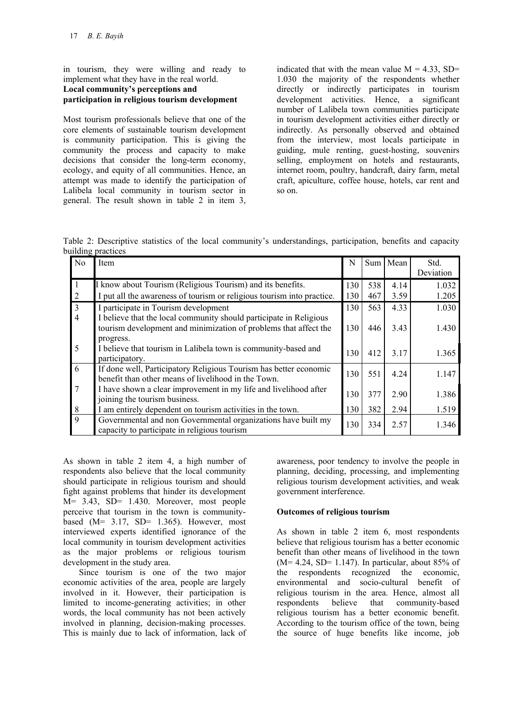in tourism, they were willing and ready to implement what they have in the real world. **Local community's perceptions and participation in religious tourism development** 

Most tourism professionals believe that one of the core elements of sustainable tourism development is community participation. This is giving the community the process and capacity to make decisions that consider the long-term economy, ecology, and equity of all communities. Hence, an attempt was made to identify the participation of Lalibela local community in tourism sector in general. The result shown in table 2 in item 3,

indicated that with the mean value  $M = 4.33$ , SD= 1.030 the majority of the respondents whether directly or indirectly participates in tourism development activities. Hence, a significant number of Lalibela town communities participate in tourism development activities either directly or indirectly. As personally observed and obtained from the interview, most locals participate in guiding, mule renting, guest-hosting, souvenirs selling, employment on hotels and restaurants, internet room, poultry, handcraft, dairy farm, metal craft, apiculture, coffee house, hotels, car rent and so on.

Table 2: Descriptive statistics of the local community's understandings, participation, benefits and capacity building practices

| No             | Item                                                                                                                                                | N   |     | Sum Mean | Std.      |
|----------------|-----------------------------------------------------------------------------------------------------------------------------------------------------|-----|-----|----------|-----------|
|                |                                                                                                                                                     |     |     |          | Deviation |
|                | I know about Tourism (Religious Tourism) and its benefits.                                                                                          | 130 | 538 | 4.14     | 1.032     |
| 2              | I put all the awareness of tourism or religious tourism into practice.                                                                              | 130 | 467 | 3.59     | 1.205     |
| 3              | I participate in Tourism development                                                                                                                | 130 | 563 | 4.33     | 1.030     |
| $\overline{4}$ | I believe that the local community should participate in Religious<br>tourism development and minimization of problems that affect the<br>progress. | 130 | 446 | 3.43     | 1.430     |
| 5              | I believe that tourism in Lalibela town is community-based and<br>participatory.                                                                    | 130 | 412 | 3.17     | 1.365     |
| 6              | If done well, Participatory Religious Tourism has better economic<br>benefit than other means of livelihood in the Town.                            | 130 | 551 | 4.24     | 1.147     |
|                | I have shown a clear improvement in my life and livelihood after<br>joining the tourism business.                                                   | 130 | 377 | 2.90     | 1.386     |
| 8              | I am entirely dependent on tourism activities in the town.                                                                                          | 130 | 382 | 2.94     | 1.519     |
| 9              | Governmental and non Governmental organizations have built my<br>capacity to participate in religious tourism                                       | 130 | 334 | 2.57     | 1.346     |

As shown in table 2 item 4, a high number of respondents also believe that the local community should participate in religious tourism and should fight against problems that hinder its development M= 3.43, SD= 1.430. Moreover, most people perceive that tourism in the town is communitybased  $(M= 3.17, SD= 1.365)$ . However, most interviewed experts identified ignorance of the local community in tourism development activities as the major problems or religious tourism development in the study area.

Since tourism is one of the two major economic activities of the area, people are largely involved in it. However, their participation is limited to income-generating activities; in other words, the local community has not been actively involved in planning, decision-making processes. This is mainly due to lack of information, lack of

awareness, poor tendency to involve the people in planning, deciding, processing, and implementing religious tourism development activities, and weak government interference.

## **Outcomes of religious tourism**

As shown in table 2 item 6, most respondents believe that religious tourism has a better economic benefit than other means of livelihood in the town  $(M= 4.24, SD= 1.147)$ . In particular, about 85% of the respondents recognized the economic, environmental and socio-cultural benefit of religious tourism in the area. Hence, almost all respondents believe that community-based religious tourism has a better economic benefit. According to the tourism office of the town, being the source of huge benefits like income, job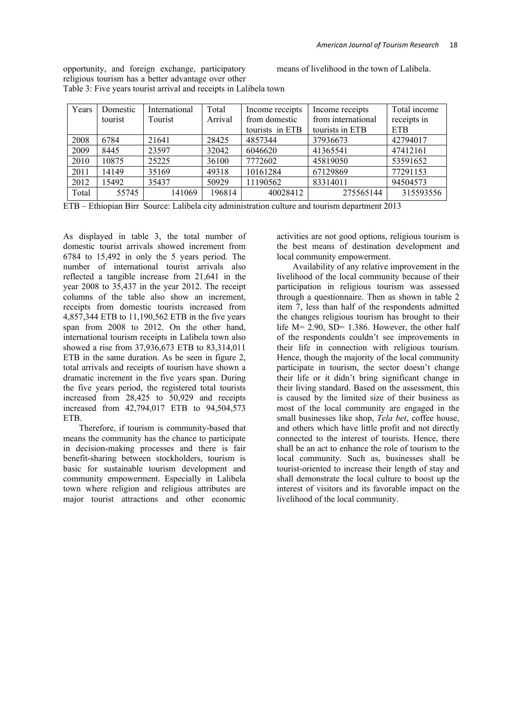opportunity, and foreign exchange, participatory religious tourism has a better advantage over other means of livelihood in the town of Lalibela.

| Years | Domestic | International | Total   | Income receipts | Income receipts    | Total income |
|-------|----------|---------------|---------|-----------------|--------------------|--------------|
|       | tourist  | Tourist       | Arrival | from domestic   | from international | receipts in  |
|       |          |               |         | tourists in ETB | tourists in ETB    | <b>ETB</b>   |
| 2008  | 6784     | 21641         | 28425   | 4857344         | 37936673           | 42794017     |
| 2009  | 8445     | 23597         | 32042   | 6046620         | 41365541           | 47412161     |
| 2010  | 10875    | 25225         | 36100   | 7772602         | 45819050           | 53591652     |
| 2011  | 14149    | 35169         | 49318   | 10161284        | 67129869           | 77291153     |
| 2012  | 15492    | 35437         | 50929   | 11190562        | 83314011           | 94504573     |
| Total | 55745    | 141069        | 196814  | 40028412        | 275565144          | 315593556    |

Table 3: Five years tourist arrival and receipts in Lalibela town

ETB – Ethiopian Birr Source: Lalibela city administration culture and tourism department 2013

As displayed in table 3, the total number of domestic tourist arrivals showed increment from 6784 to 15,492 in only the 5 years period. The number of international tourist arrivals also reflected a tangible increase from 21,641 in the year 2008 to 35,437 in the year 2012. The receipt columns of the table also show an increment, receipts from domestic tourists increased from 4,857,344 ETB to 11,190,562 ETB in the five years span from 2008 to 2012. On the other hand, international tourism receipts in Lalibela town also showed a rise from 37,936,673 ETB to 83,314,011 ETB in the same duration. As be seen in figure 2, total arrivals and receipts of tourism have shown a dramatic increment in the five years span. During the five years period, the registered total tourists increased from 28,425 to 50,929 and receipts increased from 42,794,017 ETB to 94,504,573 ETB.

Therefore, if tourism is community-based that means the community has the chance to participate in decision-making processes and there is fair benefit-sharing between stockholders, tourism is basic for sustainable tourism development and community empowerment. Especially in Lalibela town where religion and religious attributes are major tourist attractions and other economic

activities are not good options, religious tourism is the best means of destination development and local community empowerment.

Availability of any relative improvement in the livelihood of the local community because of their participation in religious tourism was assessed through a questionnaire. Then as shown in table 2 item 7, less than half of the respondents admitted the changes religious tourism has brought to their life  $M = 2.90$ ,  $SD = 1.386$ . However, the other half of the respondents couldn't see improvements in their life in connection with religious tourism. Hence, though the majority of the local community participate in tourism, the sector doesn't change their life or it didn't bring significant change in their living standard. Based on the assessment, this is caused by the limited size of their business as most of the local community are engaged in the small businesses like shop, *Tela bet*, coffee house, and others which have little profit and not directly connected to the interest of tourists. Hence, there shall be an act to enhance the role of tourism to the local community. Such as, businesses shall be tourist-oriented to increase their length of stay and shall demonstrate the local culture to boost up the interest of visitors and its favorable impact on the livelihood of the local community.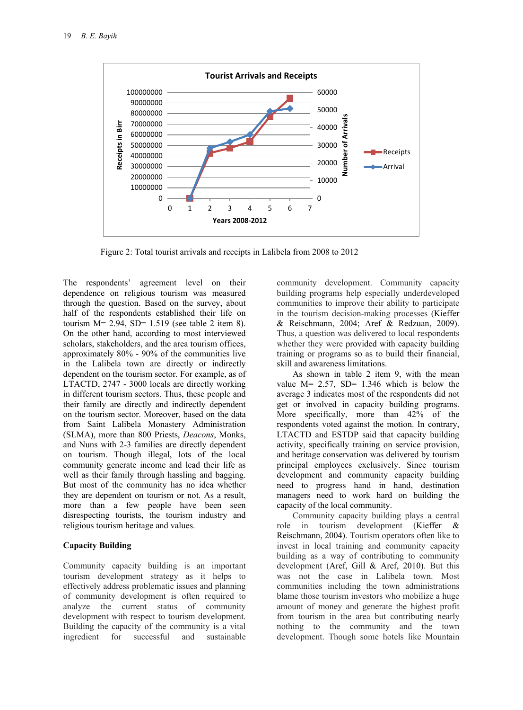

Figure 2: Total tourist arrivals and receipts in Lalibela from 2008 to 2012

The respondents' agreement level on their dependence on religious tourism was measured through the question. Based on the survey, about half of the respondents established their life on tourism  $M = 2.94$ ,  $SD = 1.519$  (see table 2 item 8). On the other hand, according to most interviewed scholars, stakeholders, and the area tourism offices, approximately 80% - 90% of the communities live in the Lalibela town are directly or indirectly dependent on the tourism sector. For example, as of LTACTD, 2747 - 3000 locals are directly working in different tourism sectors. Thus, these people and their family are directly and indirectly dependent on the tourism sector. Moreover, based on the data from Saint Lalibela Monastery Administration (SLMA), more than 800 Priests, *Deacons*, Monks, and Nuns with 2-3 families are directly dependent on tourism. Though illegal, lots of the local community generate income and lead their life as well as their family through hassling and bagging. But most of the community has no idea whether they are dependent on tourism or not. As a result, more than a few people have been seen disrespecting tourists, the tourism industry and religious tourism heritage and values.

#### **Capacity Building**

Community capacity building is an important tourism development strategy as it helps to effectively address problematic issues and planning of community development is often required to analyze the current status of community development with respect to tourism development. Building the capacity of the community is a vital ingredient for successful and sustainable

community development. Community capacity building programs help especially underdeveloped communities to improve their ability to participate in the tourism decision-making processes (Kieffer & Reischmann, 2004; Aref & Redzuan, 2009). Thus, a question was delivered to local respondents whether they were provided with capacity building training or programs so as to build their financial, skill and awareness limitations.

As shown in table 2 item 9, with the mean value  $M = 2.57$ ,  $SD = 1.346$  which is below the average 3 indicates most of the respondents did not get or involved in capacity building programs. More specifically, more than 42% of the respondents voted against the motion. In contrary, LTACTD and ESTDP said that capacity building activity, specifically training on service provision, and heritage conservation was delivered by tourism principal employees exclusively. Since tourism development and community capacity building need to progress hand in hand, destination managers need to work hard on building the capacity of the local community.

Community capacity building plays a central role in tourism development (Kieffer & Reischmann, 2004). Tourism operators often like to invest in local training and community capacity building as a way of contributing to community development (Aref, Gill & Aref, 2010). But this was not the case in Lalibela town. Most communities including the town administrations blame those tourism investors who mobilize a huge amount of money and generate the highest profit from tourism in the area but contributing nearly nothing to the community and the town development. Though some hotels like Mountain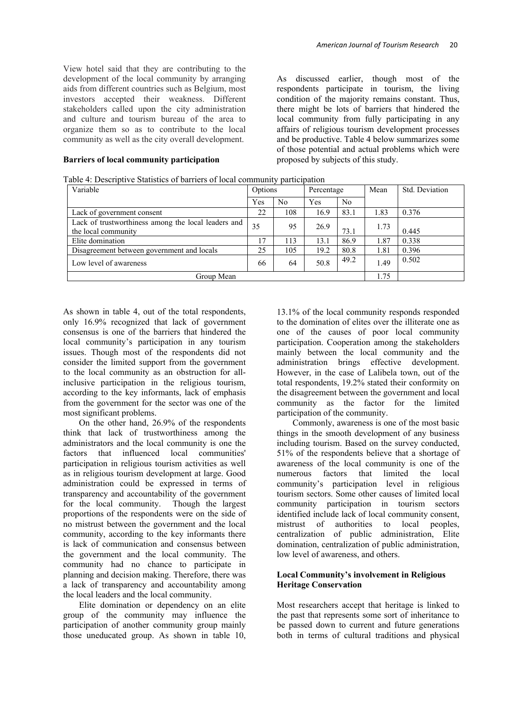View hotel said that they are contributing to the development of the local community by arranging aids from different countries such as Belgium, most investors accepted their weakness. Different stakeholders called upon the city administration and culture and tourism bureau of the area to organize them so as to contribute to the local community as well as the city overall development.

#### **Barriers of local community participation**

Table 4: Descriptive Statistics of barriers of local community participation

As discussed earlier, though most of the respondents participate in tourism, the living condition of the majority remains constant. Thus, there might be lots of barriers that hindered the local community from fully participating in any affairs of religious tourism development processes and be productive. Table 4 below summarizes some of those potential and actual problems which were proposed by subjects of this study.

| l able 4: Descriptive Statistics of barriers of local community participation<br>Variable | Options        |                | Percentage |                | Mean | Std. Deviation |  |  |  |  |  |
|-------------------------------------------------------------------------------------------|----------------|----------------|------------|----------------|------|----------------|--|--|--|--|--|
|                                                                                           |                |                |            |                |      |                |  |  |  |  |  |
|                                                                                           | Yes            | N <sub>0</sub> | Yes        | N <sub>0</sub> |      |                |  |  |  |  |  |
| Lack of government consent                                                                | 22             | 108            | 16.9       | 83.1           | 1.83 | 0.376          |  |  |  |  |  |
| Lack of trustworthiness among the local leaders and<br>the local community                | 35             | 95             | 26.9       | 73.1           | 1.73 | 0.445          |  |  |  |  |  |
| Elite domination                                                                          | $\overline{1}$ | 113            | 13.1       | 86.9           | 1.87 | 0.338          |  |  |  |  |  |
| Disagreement between government and locals                                                | 25             | 105            | 19.2       | 80.8           | 1.81 | 0.396          |  |  |  |  |  |
| Low level of awareness                                                                    | 66             | 64             | 50.8       | 49.2           | 1.49 | 0.502          |  |  |  |  |  |
| Group Mean                                                                                |                |                |            |                |      |                |  |  |  |  |  |

As shown in table 4, out of the total respondents, only 16.9% recognized that lack of government consensus is one of the barriers that hindered the local community's participation in any tourism issues. Though most of the respondents did not consider the limited support from the government to the local community as an obstruction for allinclusive participation in the religious tourism, according to the key informants, lack of emphasis from the government for the sector was one of the most significant problems.

On the other hand, 26.9% of the respondents think that lack of trustworthiness among the administrators and the local community is one the factors that influenced local communities' participation in religious tourism activities as well as in religious tourism development at large. Good administration could be expressed in terms of transparency and accountability of the government for the local community. Though the largest proportions of the respondents were on the side of no mistrust between the government and the local community, according to the key informants there is lack of communication and consensus between the government and the local community. The community had no chance to participate in planning and decision making. Therefore, there was a lack of transparency and accountability among the local leaders and the local community.

Elite domination or dependency on an elite group of the community may influence the participation of another community group mainly those uneducated group. As shown in table 10,

13.1% of the local community responds responded to the domination of elites over the illiterate one as one of the causes of poor local community participation. Cooperation among the stakeholders mainly between the local community and the administration brings effective development. However, in the case of Lalibela town, out of the total respondents, 19.2% stated their conformity on the disagreement between the government and local community as the factor for the limited participation of the community.

Commonly, awareness is one of the most basic things in the smooth development of any business including tourism. Based on the survey conducted, 51% of the respondents believe that a shortage of awareness of the local community is one of the numerous factors that limited the local community's participation level in religious tourism sectors. Some other causes of limited local community participation in tourism sectors identified include lack of local community consent, mistrust of authorities to local peoples, centralization of public administration, Elite domination, centralization of public administration, low level of awareness, and others.

#### **Local Community's involvement in Religious Heritage Conservation**

Most researchers accept that heritage is linked to the past that represents some sort of inheritance to be passed down to current and future generations both in terms of cultural traditions and physical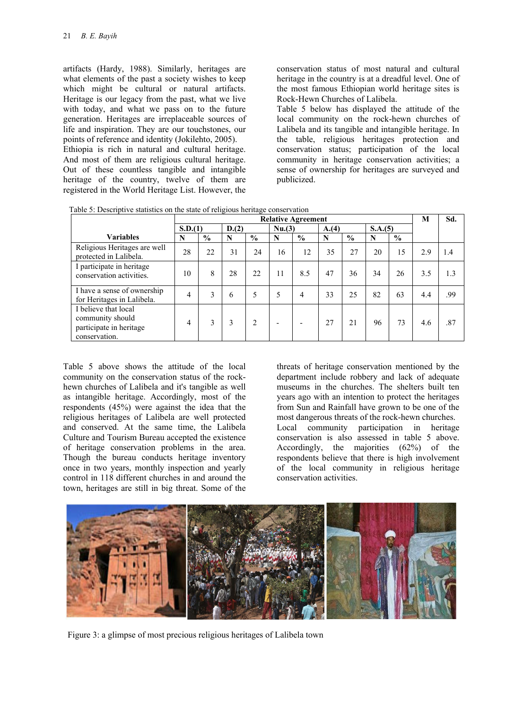artifacts (Hardy, 1988). Similarly, heritages are what elements of the past a society wishes to keep which might be cultural or natural artifacts. Heritage is our legacy from the past, what we live with today, and what we pass on to the future generation. Heritages are irreplaceable sources of life and inspiration. They are our touchstones, our points of reference and identity (Jokilehto, 2005).

Ethiopia is rich in natural and cultural heritage. And most of them are religious cultural heritage. Out of these countless tangible and intangible heritage of the country, twelve of them are registered in the World Heritage List. However, the

conservation status of most natural and cultural heritage in the country is at a dreadful level. One of the most famous Ethiopian world heritage sites is Rock-Hewn Churches of Lalibela.

Table 5 below has displayed the attitude of the local community on the rock-hewn churches of Lalibela and its tangible and intangible heritage. In the table, religious heritages protection and conservation status; participation of the local community in heritage conservation activities; a sense of ownership for heritages are surveyed and publicized.

|                                                                                      | <b>Relative Agreement</b> |                 |    |               |             |                |    |               |         |               | M   | Sd. |
|--------------------------------------------------------------------------------------|---------------------------|-----------------|----|---------------|-------------|----------------|----|---------------|---------|---------------|-----|-----|
|                                                                                      |                           | S.D.(1)<br>D(2) |    |               |             | Nu(3)<br>A.(4) |    |               | S.A.(5) |               |     |     |
| <b>Variables</b>                                                                     | N                         | $\frac{0}{0}$   | N  | $\frac{0}{0}$ | $\mathbf N$ | $\frac{0}{0}$  | N  | $\frac{0}{0}$ | N       | $\frac{0}{0}$ |     |     |
| Religious Heritages are well<br>protected in Lalibela.                               | 28                        | 22              | 31 | 24            | 16          | 12             | 35 | 27            | 20      | 15            | 2.9 | 1.4 |
| I participate in heritage<br>conservation activities.                                | 10                        | 8               | 28 | 22            | 11          | 8.5            | 47 | 36            | 34      | 26            | 3.5 | 1.3 |
| I have a sense of ownership<br>for Heritages in Lalibela.                            | 4                         | 3               | 6  | 5             | 5           | 4              | 33 | 25            | 82      | 63            | 4.4 | .99 |
| I believe that local<br>community should<br>participate in heritage<br>conservation. | 4                         | 3               | 3  | $\mathcal{L}$ |             |                | 27 | 2.1           | 96      | 73            | 4.6 | .87 |

| Table 5: Descriptive statistics on the state of religious heritage conservation |  |
|---------------------------------------------------------------------------------|--|
|---------------------------------------------------------------------------------|--|

Table 5 above shows the attitude of the local community on the conservation status of the rockhewn churches of Lalibela and it's tangible as well as intangible heritage. Accordingly, most of the respondents (45%) were against the idea that the religious heritages of Lalibela are well protected and conserved. At the same time, the Lalibela Culture and Tourism Bureau accepted the existence of heritage conservation problems in the area. Though the bureau conducts heritage inventory once in two years, monthly inspection and yearly control in 118 different churches in and around the town, heritages are still in big threat. Some of the

threats of heritage conservation mentioned by the department include robbery and lack of adequate museums in the churches. The shelters built ten years ago with an intention to protect the heritages from Sun and Rainfall have grown to be one of the most dangerous threats of the rock-hewn churches. Local community participation in heritage conservation is also assessed in table 5 above. Accordingly, the majorities (62%) of the respondents believe that there is high involvement of the local community in religious heritage conservation activities.



Figure 3: a glimpse of most precious religious heritages of Lalibela town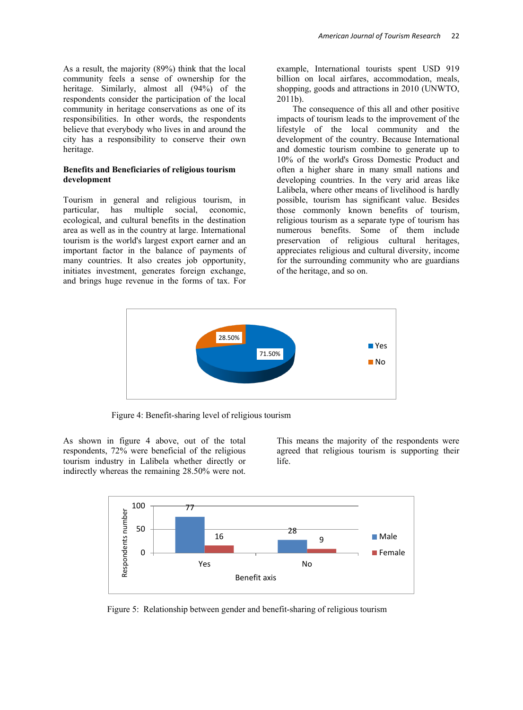As a result, the majority (89%) think that the local community feels a sense of ownership for the heritage. Similarly, almost all (94%) of the respondents consider the participation of the local community in heritage conservations as one of its responsibilities. In other words, the respondents believe that everybody who lives in and around the city has a responsibility to conserve their own heritage.

### **Benefits and Beneficiaries of religious tourism development**

Tourism in general and religious tourism, in particular, has multiple social, economic, ecological, and cultural benefits in the destination area as well as in the country at large. International tourism is the world's largest export earner and an important factor in the balance of payments of many countries. It also creates job opportunity, initiates investment, generates foreign exchange, and brings huge revenue in the forms of tax. For

example, International tourists spent USD 919 billion on local airfares, accommodation, meals, shopping, goods and attractions in 2010 (UNWTO, 2011b).

The consequence of this all and other positive impacts of tourism leads to the improvement of the lifestyle of the local community and the development of the country. Because International and domestic tourism combine to generate up to 10% of the world's Gross Domestic Product and often a higher share in many small nations and developing countries. In the very arid areas like Lalibela, where other means of livelihood is hardly possible, tourism has significant value. Besides those commonly known benefits of tourism, religious tourism as a separate type of tourism has numerous benefits. Some of them include preservation of religious cultural heritages, appreciates religious and cultural diversity, income for the surrounding community who are guardians of the heritage, and so on.



Figure 4: Benefit-sharing level of religious tourism

As shown in figure 4 above, out of the total respondents, 72% were beneficial of the religious tourism industry in Lalibela whether directly or indirectly whereas the remaining 28.50% were not.

This means the majority of the respondents were agreed that religious tourism is supporting their life.



Figure 5: Relationship between gender and benefit-sharing of religious tourism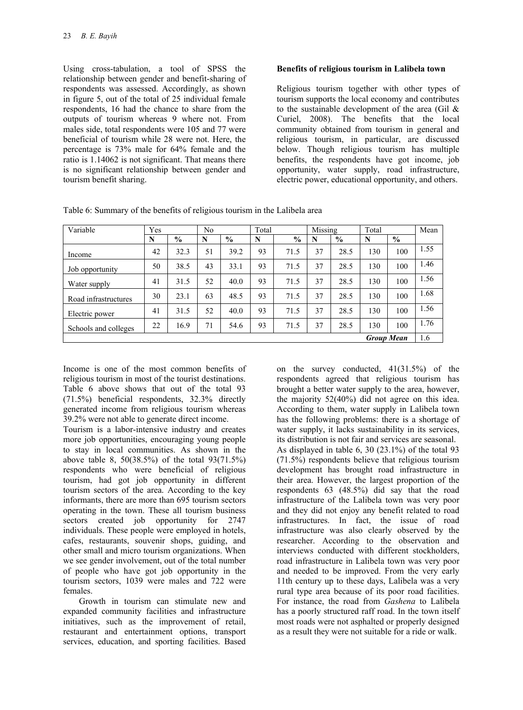Using cross-tabulation, a tool of SPSS the relationship between gender and benefit-sharing of respondents was assessed. Accordingly, as shown in figure 5, out of the total of 25 individual female respondents, 16 had the chance to share from the outputs of tourism whereas 9 where not. From males side, total respondents were 105 and 77 were beneficial of tourism while 28 were not. Here, the percentage is 73% male for 64% female and the ratio is 1.14062 is not significant. That means there is no significant relationship between gender and tourism benefit sharing.

## **Benefits of religious tourism in Lalibela town**

Religious tourism together with other types of tourism supports the local economy and contributes to the sustainable development of the area (Gil  $\&$ Curiel, 2008). The benefits that the local community obtained from tourism in general and religious tourism, in particular, are discussed below. Though religious tourism has multiple benefits, the respondents have got income, job opportunity, water supply, road infrastructure, electric power, educational opportunity, and others.

| Variable             | Yes |               | N <sub>0</sub> |               | Total |               | Missing |      | Total             |               | Mean |
|----------------------|-----|---------------|----------------|---------------|-------|---------------|---------|------|-------------------|---------------|------|
|                      | N   | $\frac{6}{6}$ | N              | $\frac{0}{0}$ | N     | $\frac{0}{0}$ | N       | $\%$ | N                 | $\frac{0}{0}$ |      |
| Income               | 42  | 32.3          | 51             | 39.2          | 93    | 71.5          | 37      | 28.5 | 130               | 100           | 1.55 |
| Job opportunity      | 50  | 38.5          | 43             | 33.1          | 93    | 71.5          | 37      | 28.5 | 130               | 100           | 1.46 |
| Water supply         | 41  | 31.5          | 52             | 40.0          | 93    | 71.5          | 37      | 28.5 | 130               | 100           | 1.56 |
| Road infrastructures | 30  | 23.1          | 63             | 48.5          | 93    | 71.5          | 37      | 28.5 | 130               | 100           | 1.68 |
| Electric power       | 41  | 31.5          | 52             | 40.0          | 93    | 71.5          | 37      | 28.5 | 130               | 100           | 1.56 |
| Schools and colleges | 22  | 16.9          | 71             | 54.6          | 93    | 71.5          | 37      | 28.5 | 130               | 100           | 1.76 |
|                      |     |               |                |               |       |               |         |      | <b>Group Mean</b> |               | 1.6  |

Table 6: Summary of the benefits of religious tourism in the Lalibela area

Income is one of the most common benefits of religious tourism in most of the tourist destinations. Table 6 above shows that out of the total 93 (71.5%) beneficial respondents, 32.3% directly generated income from religious tourism whereas 39.2% were not able to generate direct income.

Tourism is a labor-intensive industry and creates more job opportunities, encouraging young people to stay in local communities. As shown in the above table 8, 50(38.5%) of the total 93(71.5%) respondents who were beneficial of religious tourism, had got job opportunity in different tourism sectors of the area. According to the key informants, there are more than 695 tourism sectors operating in the town. These all tourism business sectors created job opportunity for 2747 individuals. These people were employed in hotels, cafes, restaurants, souvenir shops, guiding, and other small and micro tourism organizations. When we see gender involvement, out of the total number of people who have got job opportunity in the tourism sectors, 1039 were males and 722 were females.

Growth in tourism can stimulate new and expanded community facilities and infrastructure initiatives, such as the improvement of retail, restaurant and entertainment options, transport services, education, and sporting facilities. Based

on the survey conducted, 41(31.5%) of the respondents agreed that religious tourism has brought a better water supply to the area, however, the majority 52(40%) did not agree on this idea. According to them, water supply in Lalibela town has the following problems: there is a shortage of water supply, it lacks sustainability in its services, its distribution is not fair and services are seasonal. As displayed in table 6, 30 (23.1%) of the total 93 (71.5%) respondents believe that religious tourism development has brought road infrastructure in their area. However, the largest proportion of the respondents 63 (48.5%) did say that the road infrastructure of the Lalibela town was very poor and they did not enjoy any benefit related to road infrastructures. In fact, the issue of road infrastructure was also clearly observed by the researcher. According to the observation and interviews conducted with different stockholders, road infrastructure in Lalibela town was very poor and needed to be improved. From the very early 11th century up to these days, Lalibela was a very rural type area because of its poor road facilities. For instance, the road from *Gashena* to Lalibela has a poorly structured raff road. In the town itself most roads were not asphalted or properly designed as a result they were not suitable for a ride or walk.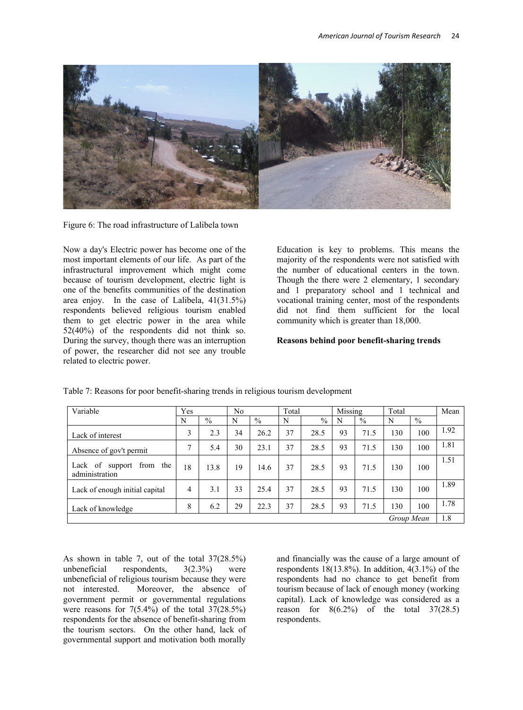

Figure 6: The road infrastructure of Lalibela town

Now a day's Electric power has become one of the most important elements of our life. As part of the infrastructural improvement which might come because of tourism development, electric light is one of the benefits communities of the destination area enjoy. In the case of Lalibela, 41(31.5%) respondents believed religious tourism enabled them to get electric power in the area while 52(40%) of the respondents did not think so. During the survey, though there was an interruption of power, the researcher did not see any trouble related to electric power.

Education is key to problems. This means the majority of the respondents were not satisfied with the number of educational centers in the town. Though the there were 2 elementary, 1 secondary and 1 preparatory school and 1 technical and vocational training center, most of the respondents did not find them sufficient for the local community which is greater than 18,000.

## **Reasons behind poor benefit-sharing trends**

| Variable                                         | Yes |               | No |               | Total |               | Missing |               | Total |               | Mean |
|--------------------------------------------------|-----|---------------|----|---------------|-------|---------------|---------|---------------|-------|---------------|------|
|                                                  | N   | $\frac{0}{0}$ | N  | $\frac{0}{0}$ | N     | $\frac{0}{0}$ | N       | $\frac{0}{0}$ | N     | $\frac{0}{0}$ |      |
| Lack of interest                                 | 3   | 2.3           | 34 | 26.2          | 37    | 28.5          | 93      | 71.5          | 130   | 100           | 1.92 |
| Absence of gov't permit                          | 7   | 5.4           | 30 | 23.1          | 37    | 28.5          | 93      | 71.5          | 130   | 100           | 1.81 |
| of support<br>Lack<br>from the<br>administration | 18  | 13.8          | 19 | 14.6          | 37    | 28.5          | 93      | 71.5          | 130   | 100           | 1.51 |
| Lack of enough initial capital                   | 4   | 3.1           | 33 | 25.4          | 37    | 28.5          | 93      | 71.5          | 130   | 100           | 1.89 |
| Lack of knowledge                                | 8   | 6.2           | 29 | 22.3          | 37    | 28.5          | 93      | 71.5          | 130   | 100           | 1.78 |
|                                                  |     |               |    |               |       |               |         |               |       | Group Mean    | 1.8  |

Table 7: Reasons for poor benefit-sharing trends in religious tourism development

As shown in table 7, out of the total  $37(28.5%)$ <br>unbeneficial respondents,  $3(2.3%)$  were respondents,  $3(2.3\%)$  were unbeneficial of religious tourism because they were not interested. Moreover, the absence of government permit or governmental regulations were reasons for  $7(5.4\%)$  of the total  $37(28.5\%)$ respondents for the absence of benefit-sharing from the tourism sectors. On the other hand, lack of governmental support and motivation both morally

and financially was the cause of a large amount of respondents  $18(13.8\%)$ . In addition,  $4(3.1\%)$  of the respondents had no chance to get benefit from tourism because of lack of enough money (working capital). Lack of knowledge was considered as a reason for  $8(6.2\%)$  of the total  $37(28.5)$ respondents.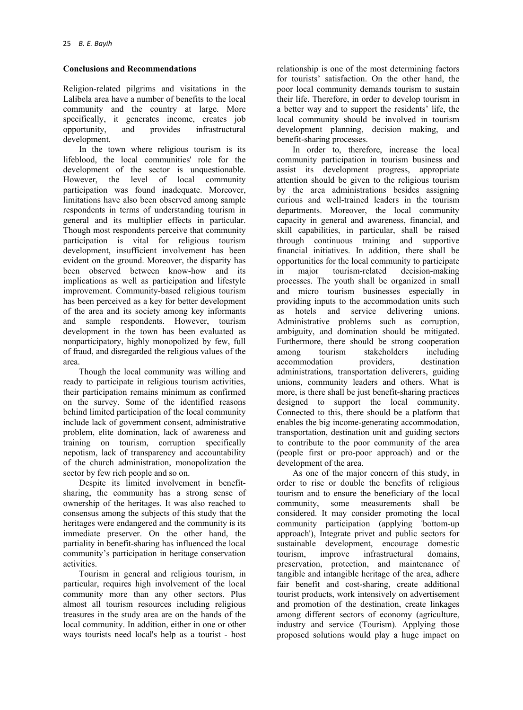# **Conclusions and Recommendations**

Religion-related pilgrims and visitations in the Lalibela area have a number of benefits to the local community and the country at large. More specifically, it generates income, creates job<br>opportunity, and provides infrastructural opportunity, and provides infrastructural development.

In the town where religious tourism is its lifeblood, the local communities' role for the development of the sector is unquestionable. However, the level of local community participation was found inadequate. Moreover, limitations have also been observed among sample respondents in terms of understanding tourism in general and its multiplier effects in particular. Though most respondents perceive that community participation is vital for religious tourism development, insufficient involvement has been evident on the ground. Moreover, the disparity has been observed between know-how and its implications as well as participation and lifestyle improvement. Community-based religious tourism has been perceived as a key for better development of the area and its society among key informants and sample respondents. However, tourism development in the town has been evaluated as nonparticipatory, highly monopolized by few, full of fraud, and disregarded the religious values of the area.

Though the local community was willing and ready to participate in religious tourism activities, their participation remains minimum as confirmed on the survey. Some of the identified reasons behind limited participation of the local community include lack of government consent, administrative problem, elite domination, lack of awareness and training on tourism, corruption specifically nepotism, lack of transparency and accountability of the church administration, monopolization the sector by few rich people and so on.

Despite its limited involvement in benefitsharing, the community has a strong sense of ownership of the heritages. It was also reached to consensus among the subjects of this study that the heritages were endangered and the community is its immediate preserver. On the other hand, the partiality in benefit-sharing has influenced the local community's participation in heritage conservation activities.

Tourism in general and religious tourism, in particular, requires high involvement of the local community more than any other sectors. Plus almost all tourism resources including religious treasures in the study area are on the hands of the local community. In addition, either in one or other ways tourists need local's help as a tourist - host relationship is one of the most determining factors for tourists' satisfaction. On the other hand, the poor local community demands tourism to sustain their life. Therefore, in order to develop tourism in a better way and to support the residents' life, the local community should be involved in tourism development planning, decision making, and benefit-sharing processes.

In order to, therefore, increase the local community participation in tourism business and assist its development progress, appropriate attention should be given to the religious tourism by the area administrations besides assigning curious and well-trained leaders in the tourism departments. Moreover, the local community capacity in general and awareness, financial, and skill capabilities, in particular, shall be raised through continuous training and supportive financial initiatives. In addition, there shall be opportunities for the local community to participate<br>in major tourism-related decision-making in major tourism-related processes. The youth shall be organized in small and micro tourism businesses especially in providing inputs to the accommodation units such as hotels and service delivering unions. Administrative problems such as corruption, ambiguity, and domination should be mitigated. Furthermore, there should be strong cooperation<br>among tourism stakeholders including among tourism stakeholders including accommodation providers, destination administrations, transportation deliverers, guiding unions, community leaders and others. What is more, is there shall be just benefit-sharing practices designed to support the local community. Connected to this, there should be a platform that enables the big income-generating accommodation, transportation, destination unit and guiding sectors to contribute to the poor community of the area (people first or pro-poor approach) and or the development of the area.

As one of the major concern of this study, in order to rise or double the benefits of religious tourism and to ensure the beneficiary of the local community, some measurements shall be considered. It may consider promoting the local community participation (applying 'bottom-up approach'), Integrate privet and public sectors for sustainable development, encourage domestic tourism, improve infrastructural domains, preservation, protection, and maintenance of tangible and intangible heritage of the area, adhere fair benefit and cost-sharing, create additional tourist products, work intensively on advertisement and promotion of the destination, create linkages among different sectors of economy (agriculture, industry and service (Tourism). Applying those proposed solutions would play a huge impact on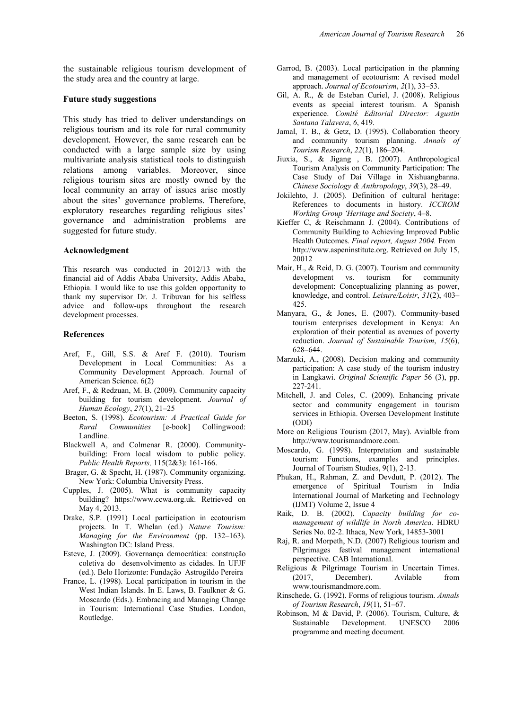the sustainable religious tourism development of the study area and the country at large.

#### **Future study suggestions**

This study has tried to deliver understandings on religious tourism and its role for rural community development. However, the same research can be conducted with a large sample size by using multivariate analysis statistical tools to distinguish relations among variables. Moreover, since religious tourism sites are mostly owned by the local community an array of issues arise mostly about the sites' governance problems. Therefore, exploratory researches regarding religious sites' governance and administration problems are suggested for future study.

#### **Acknowledgment**

This research was conducted in 2012/13 with the financial aid of Addis Ababa University, Addis Ababa, Ethiopia. I would like to use this golden opportunity to thank my supervisor Dr. J. Tribuvan for his selfless advice and follow-ups throughout the research development processes.

#### **References**

- Aref, F., Gill, S.S. & Aref F. (2010). Tourism Development in Local Communities: As a Community Development Approach. Journal of American Science. 6(2)
- Aref, F., & Redzuan, M. B. (2009). Community capacity building for tourism development. *Journal of Human Ecology*, *27*(1), 21–25
- Beeton, S. (1998). *Ecotourism: A Practical Guide for Rural Communities* [e-book] Collingwood: Landline.
- Blackwell A, and Colmenar R. (2000). Communitybuilding: From local wisdom to public policy. *Public Health Reports,* 115(2&3): 161-166.
- Brager, G. & Specht, H. (1987). Community organizing. New York: Columbia University Press.
- Cupples, J. (2005). What is community capacity building? https://www.ccwa.org.uk. Retrieved on May 4, 2013.
- Drake, S.P. (1991) Local participation in ecotourism projects. In T. Whelan (ed.) *Nature Tourism: Managing for the Environment* (pp. 132–163). Washington DC: Island Press.
- Esteve, J. (2009). Governança democrática: construção coletiva do desenvolvimento as cidades. In UFJF (ed.). Belo Horizonte: Fundação Astrogildo Pereira
- France, L. (1998). Local participation in tourism in the West Indian Islands. In E. Laws, B. Faulkner & G. Moscardo (Eds.). Embracing and Managing Change in Tourism: International Case Studies. London, Routledge.
- Garrod, B. (2003). Local participation in the planning and management of ecotourism: A revised model approach. *Journal of Ecotourism*, *2*(1), 33–53.
- Gil, A. R., & de Esteban Curiel, J. (2008). Religious events as special interest tourism. A Spanish experience. *Comité Editorial Director: Agustin Santana Talavera*, *6*, 419.
- Jamal, T. B., & Getz, D. (1995). Collaboration theory and community tourism planning. *Annals of Tourism Research*, *22*(1), 186–204.
- Jiuxia, S., & Jigang , B. (2007). Anthropological Tourism Analysis on Community Participation: The Case Study of Dai Village in Xishuangbanna. *Chinese Sociology & Anthropology*, *39*(3), 28–49.
- Jokilehto, J. (2005). Definition of cultural heritage: References to documents in history. *ICCROM Working Group 'Heritage and Society*, 4–8.
- Kieffer C, & Reischmann J. (2004). Contributions of Community Building to Achieving Improved Public Health Outcomes. *Final report, August 2004.* From [http://www.aspeninstitute.org.](http://www.aspeninstitute.org/) Retrieved on July 15, 20012
- Mair, H., & Reid, D. G. (2007). Tourism and community<br>development vs. tourism for community development vs. development: Conceptualizing planning as power, knowledge, and control. *Leisure/Loisir*, *31*(2), 403– 425.
- Manyara, G., & Jones, E. (2007). Community-based tourism enterprises development in Kenya: An exploration of their potential as avenues of poverty reduction. *Journal of Sustainable Tourism*, *15*(6), 628–644.
- Marzuki, A., (2008). Decision making and community participation: A case study of the tourism industry in Langkawi. *Original Scientific Paper* 56 (3), pp. 227-241.
- Mitchell, J. and Coles, C. (2009). Enhancing private sector and community engagement in tourism services in Ethiopia. Oversea Development Institute (ODI)
- More on Religious Tourism (2017, May). Avialble from [http://www.tourismandmore.com.](http://www.tourismandmore.com/)
- Moscardo, G. (1998). Interpretation and sustainable tourism: Functions, examples and principles. Journal of Tourism Studies, 9(1), 2-13.
- Phukan, H., Rahman, Z. and Devdutt, P. (2012). The emergence of Spiritual Tourism in India International Journal of Marketing and Technology (IJMT) Volume 2, Issue 4
- Raik, D. B. (2002). *Capacity building for comanagement of wildlife in North America*. HDRU Series No. 02-2. Ithaca, New York, 14853-3001
- Raj, R. and Morpeth, N.D. (2007) Religious tourism and Pilgrimages festival management international perspective. CAB International.
- Religious & Pilgrimage Tourism in Uncertain Times. (2017, December). Avilable from [www.tourismandmore.com.](http://www.tourismandmore.com/)
- Rinschede, G. (1992). Forms of religious tourism. *Annals of Tourism Research*, *19*(1), 51–67.
- Robinson, M & David, P. (2006). Tourism, Culture, & Sustainable Development. UNESCO 2006 programme and meeting document.